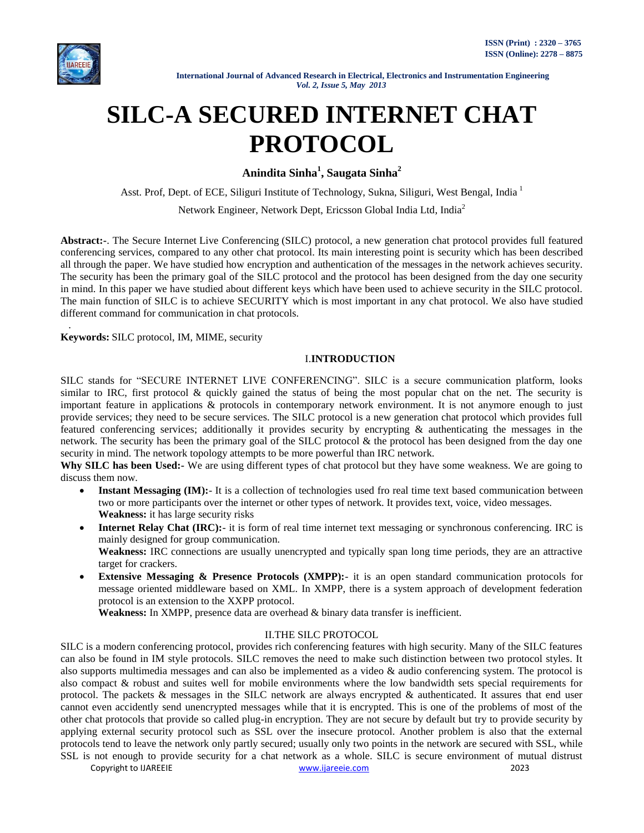

.

# **SILC-A SECURED INTERNET CHAT PROTOCOL**

**Anindita Sinha<sup>1</sup> , Saugata Sinha<sup>2</sup>**

Asst. Prof, Dept. of ECE, Siliguri Institute of Technology, Sukna, Siliguri, West Bengal, India <sup>1</sup>

Network Engineer, Network Dept, Ericsson Global India Ltd, India<sup>2</sup>

**Abstract:-**. The Secure Internet Live Conferencing (SILC) protocol, a new generation chat protocol provides full featured conferencing services, compared to any other chat protocol. Its main interesting point is security which has been described all through the paper. We have studied how encryption and authentication of the messages in the network achieves security. The security has been the primary goal of the SILC protocol and the protocol has been designed from the day one security in mind. In this paper we have studied about different keys which have been used to achieve security in the SILC protocol. The main function of SILC is to achieve SECURITY which is most important in any chat protocol. We also have studied different command for communication in chat protocols.

**Keywords:** SILC protocol, IM, MIME, security

# I.**INTRODUCTION**

SILC stands for "SECURE INTERNET LIVE CONFERENCING". SILC is a secure communication platform, looks similar to IRC, first protocol  $\&$  quickly gained the status of being the most popular chat on the net. The security is important feature in applications & protocols in contemporary network environment. It is not anymore enough to just provide services; they need to be secure services. The SILC protocol is a new generation chat protocol which provides full featured conferencing services; additionally it provides security by encrypting & authenticating the messages in the network. The security has been the primary goal of the SILC protocol  $\&$  the protocol has been designed from the day one security in mind. The network topology attempts to be more powerful than IRC network.

**Why SILC has been Used:-** We are using different types of chat protocol but they have some weakness. We are going to discuss them now.

- Instant Messaging (IM): It is a collection of technologies used fro real time text based communication between two or more participants over the internet or other types of network. It provides text, voice, video messages. **Weakness:** it has large security risks
- **Internet Relay Chat (IRC):** it is form of real time internet text messaging or synchronous conferencing. IRC is mainly designed for group communication.

**Weakness:** IRC connections are usually unencrypted and typically span long time periods, they are an attractive target for crackers.

 **Extensive Messaging & Presence Protocols (XMPP):**- it is an open standard communication protocols for message oriented middleware based on XML. In XMPP, there is a system approach of development federation protocol is an extension to the XXPP protocol.

**Weakness:** In XMPP, presence data are overhead & binary data transfer is inefficient.

## II.THE SILC PROTOCOL

SILC is a modern conferencing protocol, provides rich conferencing features with high security. Many of the SILC features can also be found in IM style protocols. SILC removes the need to make such distinction between two protocol styles. It also supports multimedia messages and can also be implemented as a video & audio conferencing system. The protocol is also compact & robust and suites well for mobile environments where the low bandwidth sets special requirements for protocol. The packets & messages in the SILC network are always encrypted & authenticated. It assures that end user cannot even accidently send unencrypted messages while that it is encrypted. This is one of the problems of most of the other chat protocols that provide so called plug-in encryption. They are not secure by default but try to provide security by applying external security protocol such as SSL over the insecure protocol. Another problem is also that the external protocols tend to leave the network only partly secured; usually only two points in the network are secured with SSL, while SSL is not enough to provide security for a chat network as a whole. SILC is secure environment of mutual distrust

Copyright to IJAREEIE THE CONSTRUCTION CONSTRUCTION WWW.ijareeie.com 2023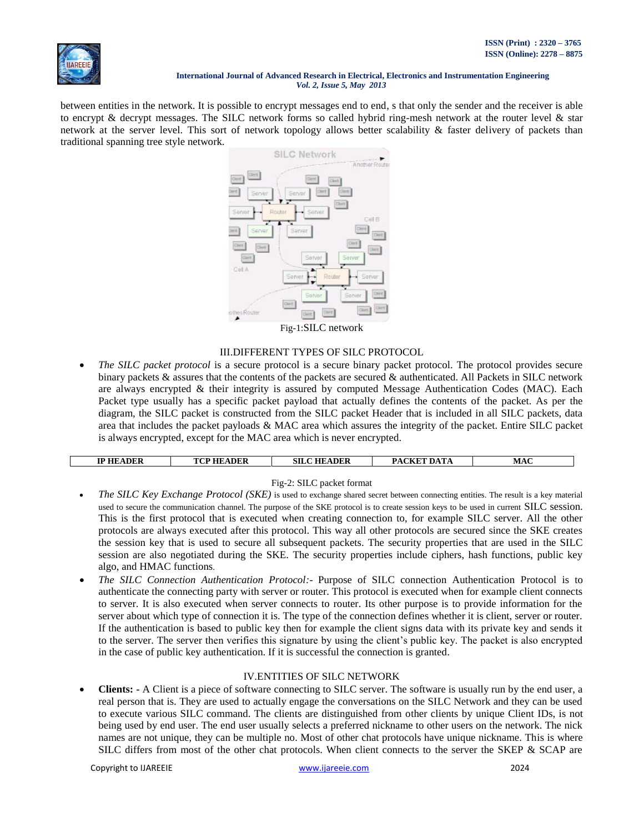

between entities in the network. It is possible to encrypt messages end to end, s that only the sender and the receiver is able to encrypt & decrypt messages. The SILC network forms so called hybrid ring-mesh network at the router level & star network at the server level. This sort of network topology allows better scalability & faster delivery of packets than traditional spanning tree style network.



# III.DIFFERENT TYPES OF SILC PROTOCOL

 *The SILC packet protocol* is a secure protocol is a secure binary packet protocol. The protocol provides secure binary packets & assures that the contents of the packets are secured & authenticated. All Packets in SILC network are always encrypted & their integrity is assured by computed Message Authentication Codes (MAC). Each Packet type usually has a specific packet payload that actually defines the contents of the packet. As per the diagram, the SILC packet is constructed from the SILC packet Header that is included in all SILC packets, data area that includes the packet payloads & MAC area which assures the integrity of the packet. Entire SILC packet is always encrypted, except for the MAC area which is never encrypted.

| <b>IP HEADER</b> | <b>TCP HEADER</b> | <b>SILC HEADER</b> | PACKET DATA | <b>MAC</b> |
|------------------|-------------------|--------------------|-------------|------------|

## Fig-2: SILC packet format

- *The SILC Key Exchange Protocol (SKE)* is used to exchange shared secret between connecting entities. The result is a key material used to secure the communication channel. The purpose of the SKE protocol is to create session keys to be used in current SILC session. This is the first protocol that is executed when creating connection to, for example SILC server. All the other protocols are always executed after this protocol. This way all other protocols are secured since the SKE creates the session key that is used to secure all subsequent packets. The security properties that are used in the SILC session are also negotiated during the SKE. The security properties include ciphers, hash functions, public key algo, and HMAC functions.
- *The SILC Connection Authentication Protocol:-* Purpose of SILC connection Authentication Protocol is to authenticate the connecting party with server or router. This protocol is executed when for example client connects to server. It is also executed when server connects to router. Its other purpose is to provide information for the server about which type of connection it is. The type of the connection defines whether it is client, server or router. If the authentication is based to public key then for example the client signs data with its private key and sends it to the server. The server then verifies this signature by using the client"s public key. The packet is also encrypted in the case of public key authentication. If it is successful the connection is granted*.*

# IV.ENTITIES OF SILC NETWORK

• **Clients:** - A Client is a piece of software connecting to SILC server. The software is usually run by the end user, a real person that is. They are used to actually engage the conversations on the SILC Network and they can be used to execute various SILC command. The clients are distinguished from other clients by unique Client IDs, is not being used by end user. The end user usually selects a preferred nickname to other users on the network. The nick names are not unique, they can be multiple no. Most of other chat protocols have unique nickname. This is where SILC differs from most of the other chat protocols. When client connects to the server the SKEP & SCAP are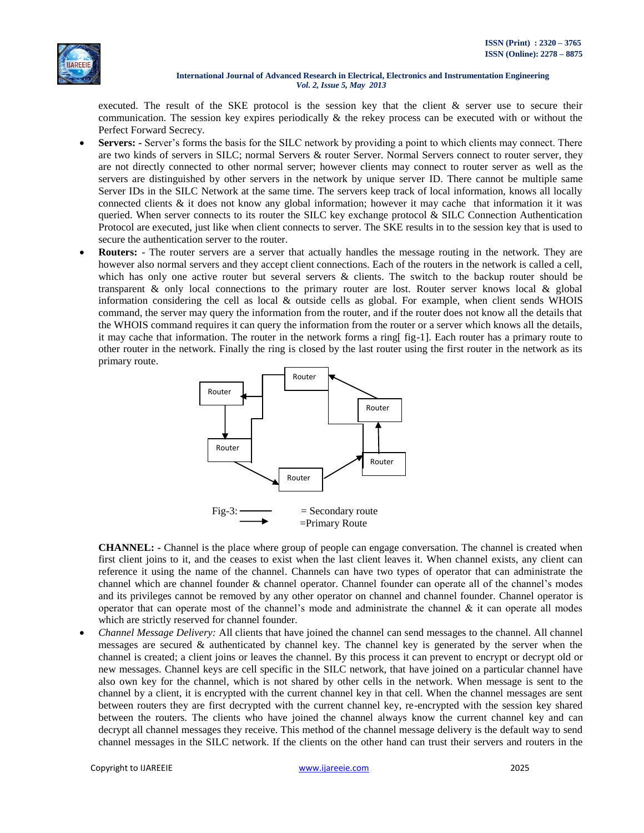

executed. The result of the SKE protocol is the session key that the client & server use to secure their communication. The session key expires periodically & the rekey process can be executed with or without the Perfect Forward Secrecy.

- **Servers: -** Server's forms the basis for the SILC network by providing a point to which clients may connect. There are two kinds of servers in SILC; normal Servers & router Server. Normal Servers connect to router server, they are not directly connected to other normal server; however clients may connect to router server as well as the servers are distinguished by other servers in the network by unique server ID. There cannot be multiple same Server IDs in the SILC Network at the same time. The servers keep track of local information, knows all locally connected clients & it does not know any global information; however it may cache that information it it was queried. When server connects to its router the SILC key exchange protocol  $\&$  SILC Connection Authentication Protocol are executed, just like when client connects to server. The SKE results in to the session key that is used to secure the authentication server to the router.
- **Routers:** The router servers are a server that actually handles the message routing in the network. They are however also normal servers and they accept client connections. Each of the routers in the network is called a cell, which has only one active router but several servers & clients. The switch to the backup router should be transparent  $\&$  only local connections to the primary router are lost. Router server knows local  $\&$  global information considering the cell as local & outside cells as global. For example, when client sends WHOIS command, the server may query the information from the router, and if the router does not know all the details that the WHOIS command requires it can query the information from the router or a server which knows all the details, it may cache that information. The router in the network forms a ring[ fig-1]. Each router has a primary route to other router in the network. Finally the ring is closed by the last router using the first router in the network as its primary route.



**CHANNEL: -** Channel is the place where group of people can engage conversation. The channel is created when first client joins to it, and the ceases to exist when the last client leaves it. When channel exists, any client can reference it using the name of the channel. Channels can have two types of operator that can administrate the channel which are channel founder & channel operator. Channel founder can operate all of the channel"s modes and its privileges cannot be removed by any other operator on channel and channel founder. Channel operator is operator that can operate most of the channel's mode and administrate the channel  $\&$  it can operate all modes which are strictly reserved for channel founder.

 *Channel Message Delivery:* All clients that have joined the channel can send messages to the channel. All channel messages are secured & authenticated by channel key. The channel key is generated by the server when the channel is created; a client joins or leaves the channel. By this process it can prevent to encrypt or decrypt old or new messages. Channel keys are cell specific in the SILC network, that have joined on a particular channel have also own key for the channel, which is not shared by other cells in the network. When message is sent to the channel by a client, it is encrypted with the current channel key in that cell. When the channel messages are sent between routers they are first decrypted with the current channel key, re-encrypted with the session key shared between the routers. The clients who have joined the channel always know the current channel key and can decrypt all channel messages they receive. This method of the channel message delivery is the default way to send channel messages in the SILC network. If the clients on the other hand can trust their servers and routers in the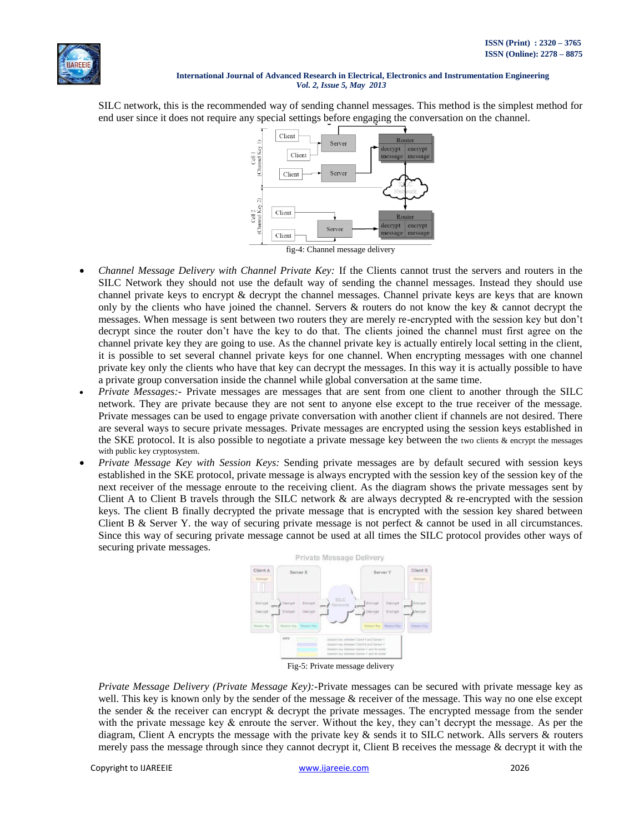

SILC network, this is the recommended way of sending channel messages. This method is the simplest method for end user since it does not require any special settings before engaging the conversation on the channel.



fig-4: Channel message delivery

- *Channel Message Delivery with Channel Private Key:* If the Clients cannot trust the servers and routers in the SILC Network they should not use the default way of sending the channel messages. Instead they should use channel private keys to encrypt & decrypt the channel messages. Channel private keys are keys that are known only by the clients who have joined the channel. Servers  $\&$  routers do not know the key  $\&$  cannot decrypt the messages. When message is sent between two routers they are merely re-encrypted with the session key but don"t decrypt since the router don"t have the key to do that. The clients joined the channel must first agree on the channel private key they are going to use. As the channel private key is actually entirely local setting in the client, it is possible to set several channel private keys for one channel. When encrypting messages with one channel private key only the clients who have that key can decrypt the messages. In this way it is actually possible to have a private group conversation inside the channel while global conversation at the same time.
- *Private Messages:* Private messages are messages that are sent from one client to another through the SILC network. They are private because they are not sent to anyone else except to the true receiver of the message. Private messages can be used to engage private conversation with another client if channels are not desired. There are several ways to secure private messages. Private messages are encrypted using the session keys established in the SKE protocol. It is also possible to negotiate a private message key between the two clients & encrypt the messages with public key cryptosystem.
- *Private Message Key with Session Keys:* Sending private messages are by default secured with session keys established in the SKE protocol, private message is always encrypted with the session key of the session key of the next receiver of the message enroute to the receiving client. As the diagram shows the private messages sent by Client A to Client B travels through the SILC network  $\&$  are always decrypted  $\&$  re-encrypted with the session keys. The client B finally decrypted the private message that is encrypted with the session key shared between Client B & Server Y. the way of securing private message is not perfect & cannot be used in all circumstances. Since this way of securing private message cannot be used at all times the SILC protocol provides other ways of securing private messages.



Fig-5: Private message delivery

*Private Message Delivery (Private Message Key):-*Private messages can be secured with private message key as well. This key is known only by the sender of the message & receiver of the message. This way no one else except the sender  $\&$  the receiver can encrypt  $\&$  decrypt the private messages. The encrypted message from the sender with the private message key  $\&$  enroute the server. Without the key, they can't decrypt the message. As per the diagram, Client A encrypts the message with the private key & sends it to SILC network. Alls servers & routers merely pass the message through since they cannot decrypt it, Client B receives the message & decrypt it with the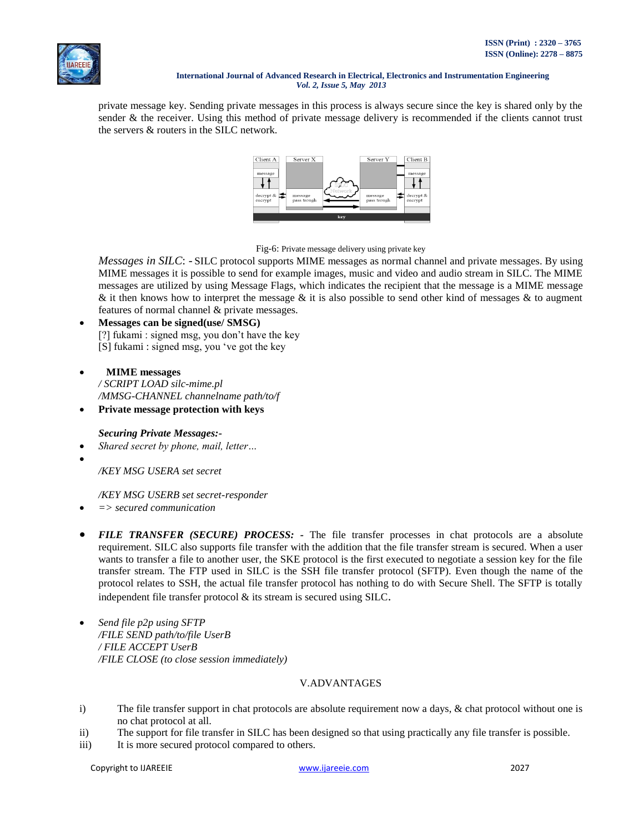private message key. Sending private messages in this process is always secure since the key is shared only by the sender & the receiver. Using this method of private message delivery is recommended if the clients cannot trust the servers & routers in the SILC network.



Fig-6: Private message delivery using private key

*Messages in SILC*: - SILC protocol supports MIME messages as normal channel and private messages. By using MIME messages it is possible to send for example images, music and video and audio stream in SILC. The MIME messages are utilized by using Message Flags, which indicates the recipient that the message is a MIME message & it then knows how to interpret the message & it is also possible to send other kind of messages & to augment features of normal channel & private messages.

- **Messages can be signed(use/ SMSG)** [?] fukami : signed msg, you don"t have the key [S] fukami : signed msg, you "ve got the key
- **MIME messages** */ SCRIPT LOAD silc-mime.pl /MMSG-CHANNEL channelname path/to/f*
- **Private message protection with keys**

# *Securing Private Messages:-*

- *Shared secret by phone, mail, letter…*
- $\bullet$

*/KEY MSG USERA set secret*

# */KEY MSG USERB set secret-responder*

- *=> secured communication*
- FILE TRANSFER (SECURE) PROCESS: The file transfer processes in chat protocols are a absolute requirement. SILC also supports file transfer with the addition that the file transfer stream is secured. When a user wants to transfer a file to another user, the SKE protocol is the first executed to negotiate a session key for the file transfer stream. The FTP used in SILC is the SSH file transfer protocol (SFTP). Even though the name of the protocol relates to SSH, the actual file transfer protocol has nothing to do with Secure Shell. The SFTP is totally independent file transfer protocol & its stream is secured using SILC.
- *Send file p2p using SFTP /FILE SEND path/to/file UserB / FILE ACCEPT UserB /FILE CLOSE (to close session immediately)*

# V.ADVANTAGES

- i) The file transfer support in chat protocols are absolute requirement now a days, & chat protocol without one is no chat protocol at all.
- ii) The support for file transfer in SILC has been designed so that using practically any file transfer is possible.
- iii) It is more secured protocol compared to others.